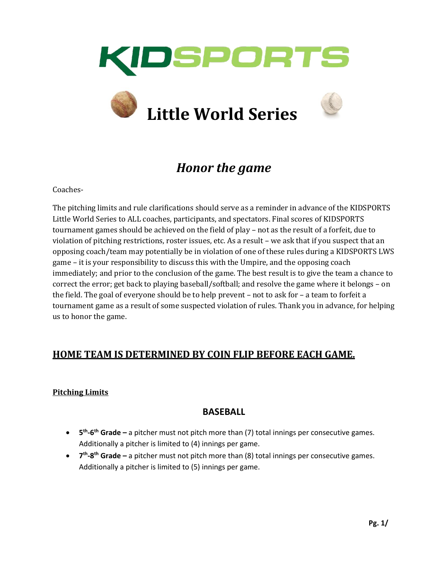



# *Honor the game*

Coaches-

The pitching limits and rule clarifications should serve as a reminder in advance of the KIDSPORTS Little World Series to ALL coaches, participants, and spectators. Final scores of KIDSPORTS tournament games should be achieved on the field of play – not as the result of a forfeit, due to violation of pitching restrictions, roster issues, etc. As a result – we ask that if you suspect that an opposing coach/team may potentially be in violation of one of these rules during a KIDSPORTS LWS game – it is your responsibility to discuss this with the Umpire, and the opposing coach immediately; and prior to the conclusion of the game. The best result is to give the team a chance to correct the error; get back to playing baseball/softball; and resolve the game where it belongs – on the field. The goal of everyone should be to help prevent – not to ask for – a team to forfeit a tournament game as a result of some suspected violation of rules. Thank you in advance, for helping us to honor the game.

## **HOME TEAM IS DETERMINED BY COIN FLIP BEFORE EACH GAME.**

#### **Pitching Limits**

### **BASEBALL**

- **• 5<sup>th</sup>-6<sup>th</sup> Grade** a pitcher must not pitch more than (7) total innings per consecutive games. Additionally a pitcher is limited to (4) innings per game.
- **7<sup>th</sup>-8<sup>th</sup> Grade –** a pitcher must not pitch more than (8) total innings per consecutive games. Additionally a pitcher is limited to (5) innings per game.